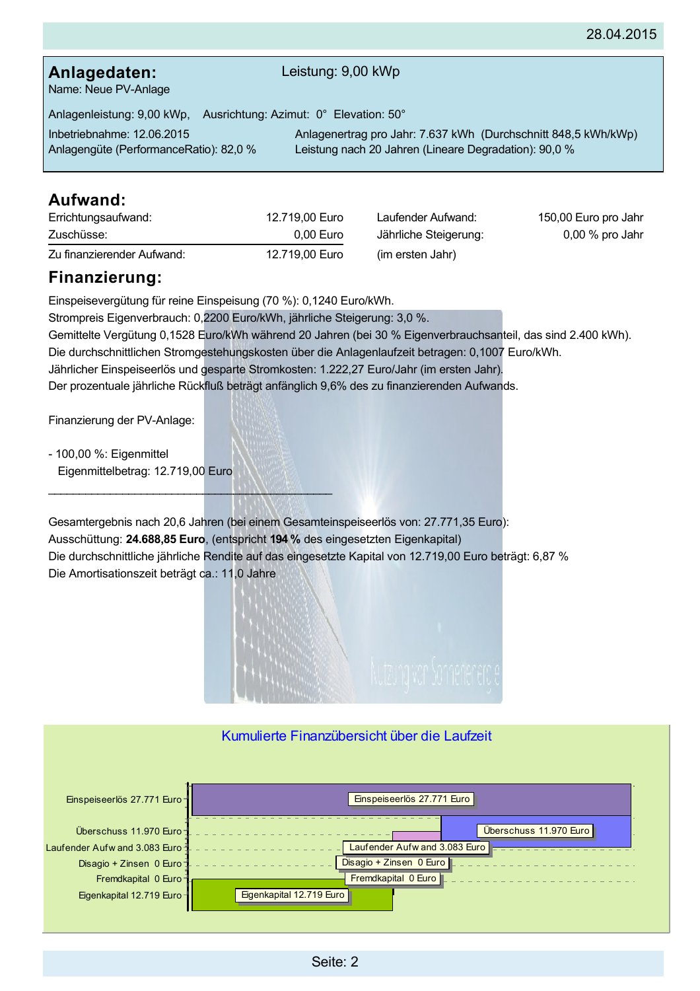## Anlagedaten:

#### Leistung: 9,00 kWp

Name: Neue PV-Anlage

Anlagenleistung: 9,00 kWp, Ausrichtung: Azimut: 0° Elevation: 50°

Inbetriebnahme: 12.06.2015 Anlagengüte (PerformanceRatio): 82,0 %

Anlagenertrag pro Jahr: 7.637 kWh (Durchschnitt 848,5 kWh/kWp) Leistung nach 20 Jahren (Lineare Degradation): 90,0 %

## Aufwand:

| Errichtungsaufwand:        | 12.719.00 Euro | Laufender Aufwand:    | 150,00 Euro pro Jahr |
|----------------------------|----------------|-----------------------|----------------------|
| Zuschüsse:                 | $0.00$ Euro    | Jährliche Steigerung: | $0.00\%$ pro Jahr    |
| Zu finanzierender Aufwand: | 12.719.00 Euro | (im ersten Jahr)      |                      |

## Finanzierung:

Einspeisevergütung für reine Einspeisung (70 %): 0,1240 Euro/kWh. Strompreis Eigenverbrauch: 0,2200 Euro/kWh, jährliche Steigerung: 3,0 %. Gemittelte Vergütung 0,1528 Euro/kWh während 20 Jahren (bei 30 % Eigenverbrauchsanteil, das sind 2.400 kWh). Die durchschnittlichen Stromgestehungskosten über die Anlagenlaufzeit betragen: 0,1007 Euro/kWh. Jährlicher Einspeiseerlös und gesparte Stromkosten: 1.222.27 Euro/Jahr (im ersten Jahr). Der prozentuale jährliche Rückfluß beträgt anfänglich 9,6% des zu finanzierenden Aufwands.

Finanzierung der PV-Anlage:

- 100,00 %: Eigenmittel Eigenmittelbetrag: 12.719,00 Euro

Gesamtergebnis nach 20,6 Jahren (bei einem Gesamteinspeiseerlös von: 27.771,35 Euro): Ausschüttung: 24.688,85 Euro, (entspricht 194 % des eingesetzten Eigenkapital) Die durchschnittliche jährliche Rendite auf das eingesetzte Kapital von 12.719,00 Euro beträgt: 6,87 % Die Amortisationszeit beträgt ca.: 11,0 Jahre



## Kumulierte Finanzübersicht über die Laufzeit

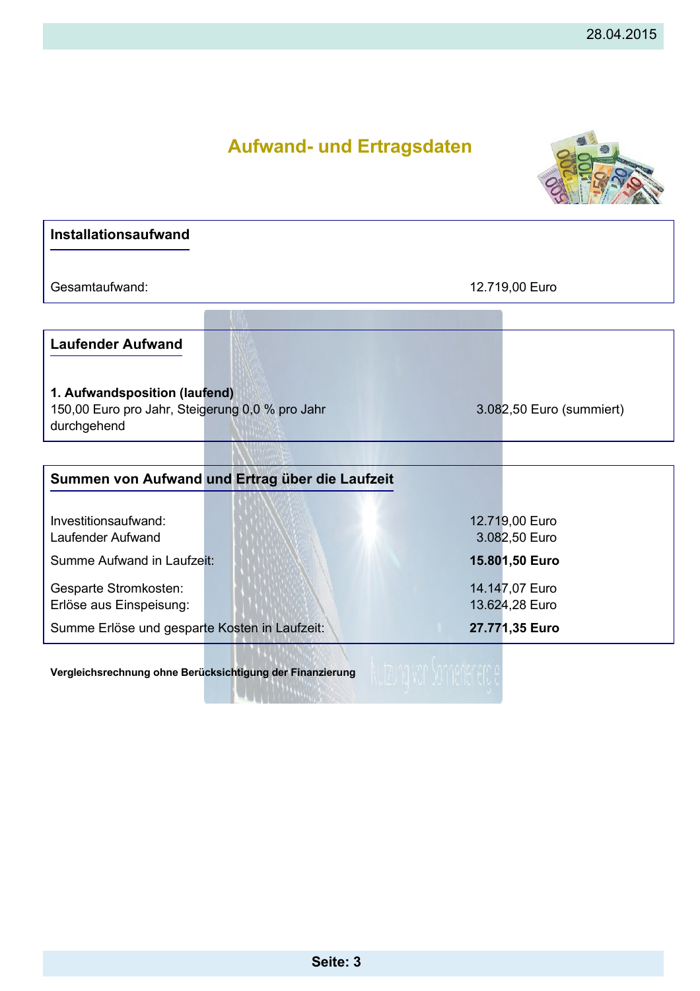

| <b>Installationsaufwand</b>                                                                     |                                  |  |
|-------------------------------------------------------------------------------------------------|----------------------------------|--|
| Gesamtaufwand:                                                                                  | 12.719,00 Euro                   |  |
| <b>Laufender Aufwand</b>                                                                        |                                  |  |
| 1. Aufwandsposition (laufend)<br>150,00 Euro pro Jahr, Steigerung 0,0 % pro Jahr<br>durchgehend | 3.082,50 Euro (summiert)         |  |
|                                                                                                 |                                  |  |
| Summen von Aufwand und Ertrag über die Laufzeit                                                 |                                  |  |
| Investitionsaufwand:<br>Laufender Aufwand                                                       | 12.719,00 Euro<br>3.082,50 Euro  |  |
| Summe Aufwand in Laufzeit:                                                                      | 15.801,50 Euro                   |  |
| Gesparte Stromkosten:<br>Erlöse aus Einspeisung:                                                | 14.147,07 Euro<br>13.624,28 Euro |  |
| Summe Erlöse und gesparte Kosten in Laufzeit:                                                   | 27.771,35 Euro                   |  |
| Vergleichsrechnung ohne Berücksichtigung der Finanzierung                                       |                                  |  |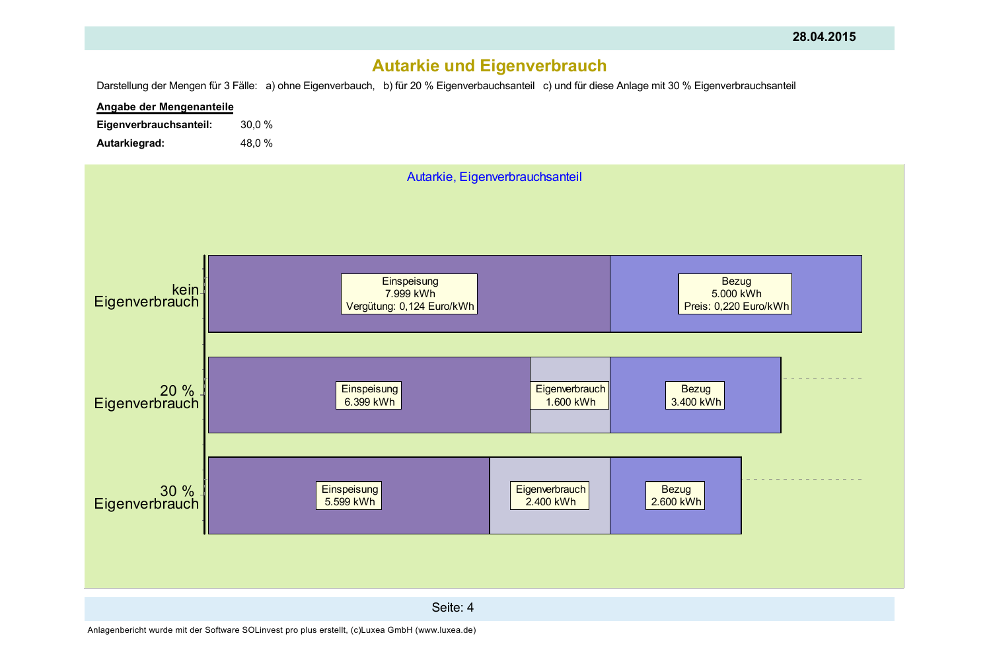# **Autarkie und Eigenverbrauch**

Darstellung der Mengen für 3 Fälle: a) ohne Eigenverbauch, b) für 20 % Eigenverbauchsanteil c) und für diese Anlage mit 30 % Eigenverbrauchsanteil



Anlagenbericht wurde mit der Software SOLinvest pro plus erstellt, (c)Luxea GmbH (www.luxea.de)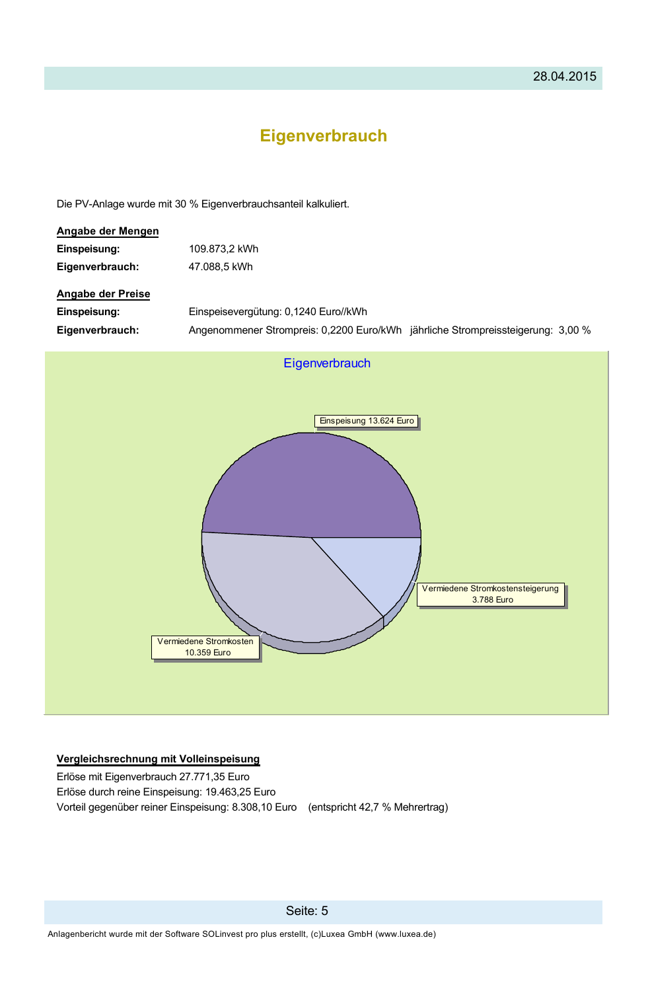# **Eigenverbrauch**

Die PV-Anlage wurde mit 30 % Eigenverbrauchsanteil kalkuliert.

| Angabe der Mengen        |                                                                                 |  |
|--------------------------|---------------------------------------------------------------------------------|--|
| Einspeisung:             | 109.873,2 kWh                                                                   |  |
| Eigenverbrauch:          | 47.088,5 kWh                                                                    |  |
| <b>Angabe der Preise</b> |                                                                                 |  |
| Einspeisung:             | Einspeisevergütung: 0,1240 Euro//kWh                                            |  |
| Eigenverbrauch:          | Angenommener Strompreis: 0,2200 Euro/kWh jährliche Strompreissteigerung: 3,00 % |  |



#### Vergleichsrechnung mit Volleinspeisung

Erlöse mit Eigenverbrauch 27.771,35 Euro Erlöse durch reine Einspeisung: 19.463,25 Euro Vorteil gegenüber reiner Einspeisung: 8.308,10 Euro (entspricht 42,7 % Mehrertrag)

Seite: 5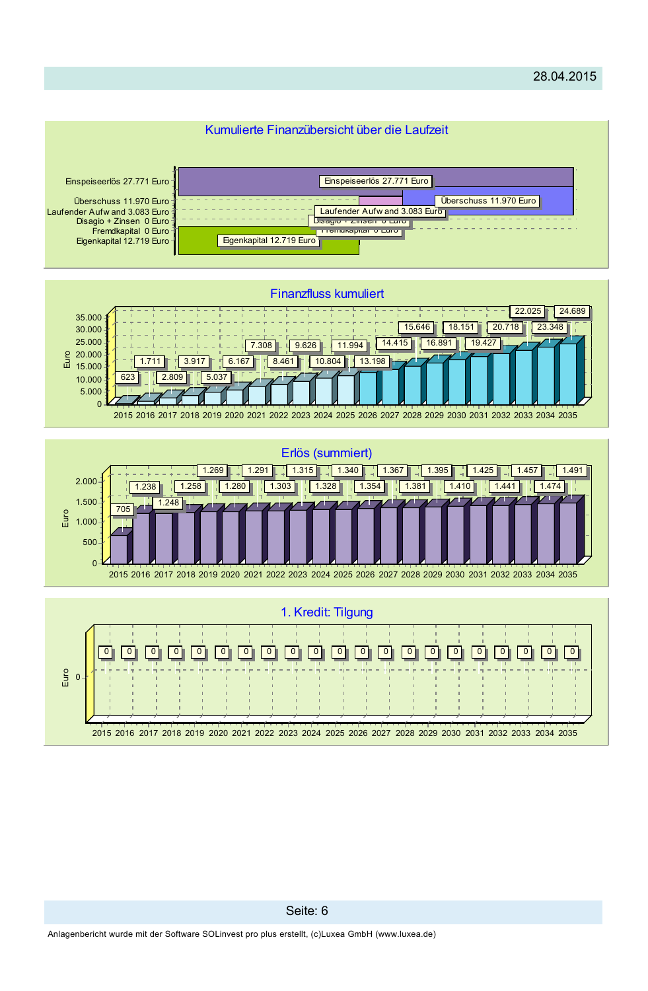

## Seite: 6

Anlagenbericht wurde mit der Software SOLinvest pro plus erstellt, (c)Luxea GmbH (www.luxea.de)